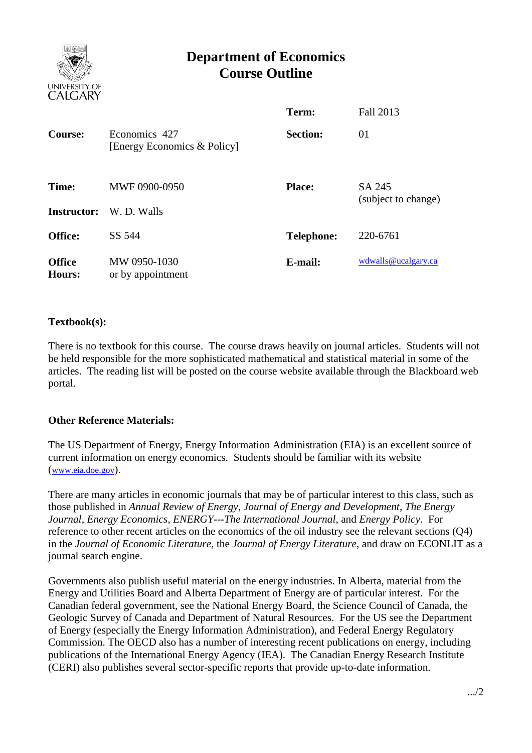

# **Department of Economics Course Outline**

|                                |                                              | Term:             | <b>Fall 2013</b>              |
|--------------------------------|----------------------------------------------|-------------------|-------------------------------|
| Course:                        | Economics 427<br>[Energy Economics & Policy] | <b>Section:</b>   | 01                            |
| Time:<br><b>Instructor:</b>    | MWF 0900-0950<br>W. D. Walls                 | <b>Place:</b>     | SA 245<br>(subject to change) |
| Office:                        | SS 544                                       | <b>Telephone:</b> | 220-6761                      |
| <b>Office</b><br><b>Hours:</b> | MW 0950-1030<br>or by appointment            | E-mail:           | wdwalls@ucalgary.ca           |

## **Textbook(s):**

There is no textbook for this course. The course draws heavily on journal articles. Students will not be held responsible for the more sophisticated mathematical and statistical material in some of the articles. The reading list will be posted on the course website available through the Blackboard web portal.

# **Other Reference Materials:**

The US Department of Energy, Energy Information Administration (EIA) is an excellent source of current information on energy economics. Students should be familiar with its website ([www.eia.doe.gov](http://www.eia.doe.gov/)).

There are many articles in economic journals that may be of particular interest to this class, such as those published in *Annual Review of Energy*, *Journal of Energy and Development*, *The Energy Journal*, *Energy Economics*, *ENERGY---The International Journal*, and *Energy Policy*. For reference to other recent articles on the economics of the oil industry see the relevant sections (Q4) in the *Journal of Economic Literature*, the *Journal of Energy Literature*, and draw on ECONLIT as a journal search engine.

Governments also publish useful material on the energy industries. In Alberta, material from the Energy and Utilities Board and Alberta Department of Energy are of particular interest. For the Canadian federal government, see the National Energy Board, the Science Council of Canada, the Geologic Survey of Canada and Department of Natural Resources. For the US see the Department of Energy (especially the Energy Information Administration), and Federal Energy Regulatory Commission. The OECD also has a number of interesting recent publications on energy, including publications of the International Energy Agency (IEA). The Canadian Energy Research Institute (CERI) also publishes several sector-specific reports that provide up-to-date information.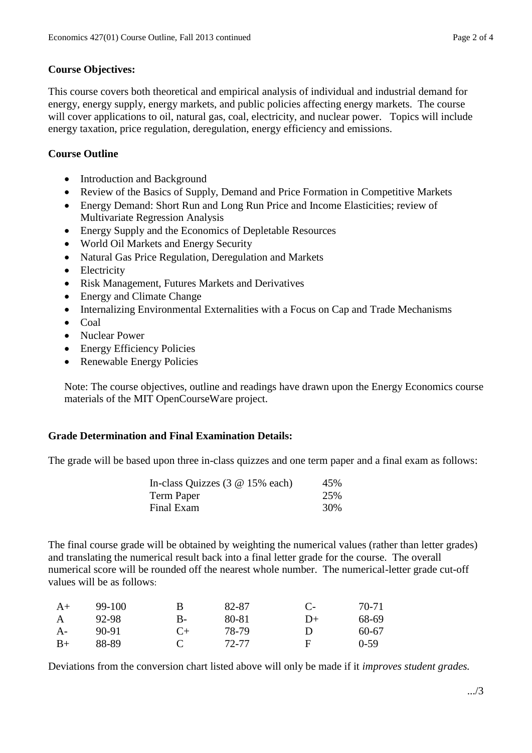### **Course Objectives:**

This course covers both theoretical and empirical analysis of individual and industrial demand for energy, energy supply, energy markets, and public policies affecting energy markets. The course will cover applications to oil, natural gas, coal, electricity, and nuclear power. Topics will include energy taxation, price regulation, deregulation, energy efficiency and emissions.

## **Course Outline**

- Introduction and Background
- Review of the Basics of Supply, Demand and Price Formation in Competitive Markets
- Energy Demand: Short Run and Long Run Price and Income Elasticities; review of Multivariate Regression Analysis
- Energy Supply and the Economics of Depletable Resources
- World Oil Markets and Energy Security
- Natural Gas Price Regulation, Deregulation and Markets
- Electricity
- Risk Management, Futures Markets and Derivatives
- Energy and Climate Change
- Internalizing Environmental Externalities with a Focus on Cap and Trade Mechanisms
- Coal
- Nuclear Power
- Energy Efficiency Policies
- Renewable Energy Policies

Note: The course objectives, outline and readings have drawn upon the Energy Economics course materials of the MIT OpenCourseWare project.

### **Grade Determination and Final Examination Details:**

The grade will be based upon three in-class quizzes and one term paper and a final exam as follows:

| In-class Quizzes $(3 \t@ 15\% \teach)$ | 45% |
|----------------------------------------|-----|
| Term Paper                             | 25% |
| Final Exam                             | 30% |

The final course grade will be obtained by weighting the numerical values (rather than letter grades) and translating the numerical result back into a final letter grade for the course. The overall numerical score will be rounded off the nearest whole number. The numerical-letter grade cut-off values will be as follows:

| $A+$ | 99-100 | B     | 82-87 | $C-$ | 70-71   |
|------|--------|-------|-------|------|---------|
| A    | 92-98  | В-    | 80-81 | $D+$ | 68-69   |
| $A-$ | 90-91  | $($ + | 78-79 | Ð    | $60-67$ |
| $B+$ | 88-89  |       | 72-77 | F    | $0-59$  |

Deviations from the conversion chart listed above will only be made if it *improves student grades.*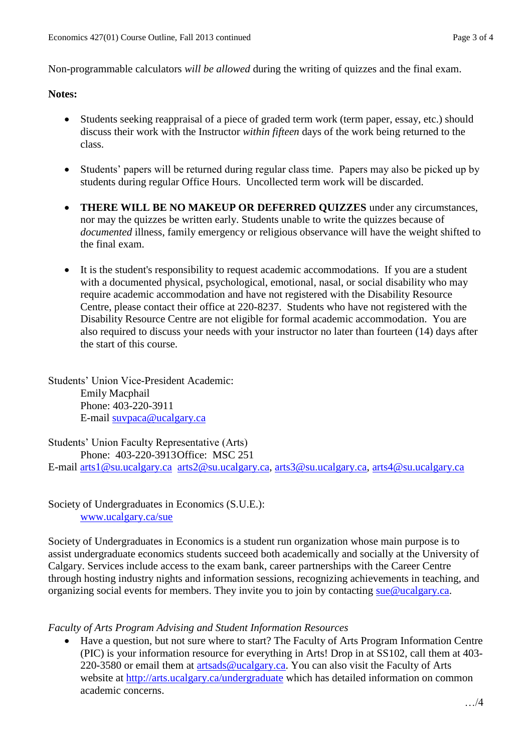Non-programmable calculators *will be allowed* during the writing of quizzes and the final exam.

#### **Notes:**

- Students seeking reappraisal of a piece of graded term work (term paper, essay, etc.) should discuss their work with the Instructor *within fifteen* days of the work being returned to the class.
- Students' papers will be returned during regular class time. Papers may also be picked up by students during regular Office Hours. Uncollected term work will be discarded.
- **THERE WILL BE NO MAKEUP OR DEFERRED QUIZZES** under any circumstances, nor may the quizzes be written early. Students unable to write the quizzes because of *documented* illness, family emergency or religious observance will have the weight shifted to the final exam.
- It is the student's responsibility to request academic accommodations. If you are a student with a documented physical, psychological, emotional, nasal, or social disability who may require academic accommodation and have not registered with the Disability Resource Centre, please contact their office at 220-8237. Students who have not registered with the Disability Resource Centre are not eligible for formal academic accommodation. You are also required to discuss your needs with your instructor no later than fourteen (14) days after the start of this course.

Students' Union Vice-President Academic: Emily Macphail Phone: 403-220-3911 E-mail [suvpaca@ucalgary.ca](mailto:subpaca@ucalgary.ca)

Students' Union Faculty Representative (Arts) Phone: 403-220-3913Office: MSC 251 E-mail [arts1@su.ucalgary.ca](mailto:arts1@su.ucalgary.ca) [arts2@su.ucalgary.ca,](mailto:arts2@su.ucalgary.ca) [arts3@su.ucalgary.ca,](mailto:arts3@su.ucalgary.ca) [arts4@su.ucalgary.ca](mailto:arts4@su.ucalgary.ca)

Society of Undergraduates in Economics (S.U.E.): [www.ucalgary.ca/sue](http://www.fp.ucalgary.ca/econ)

Society of Undergraduates in Economics is a student run organization whose main purpose is to assist undergraduate economics students succeed both academically and socially at the University of Calgary. Services include access to the exam bank, career partnerships with the Career Centre through hosting industry nights and information sessions, recognizing achievements in teaching, and organizing social events for members. They invite you to join by contacting [sue@ucalgary.ca.](mailto:sue@ucalgary.ca)

#### *Faculty of Arts Program Advising and Student Information Resources*

 Have a question, but not sure where to start? The Faculty of Arts Program Information Centre (PIC) is your information resource for everything in Arts! Drop in at SS102, call them at 403 220-3580 or email them at [artsads@ucalgary.ca.](mailto:artsads@ucalgary.ca) You can also visit the Faculty of Arts website at<http://arts.ucalgary.ca/undergraduate> which has detailed information on common academic concerns.